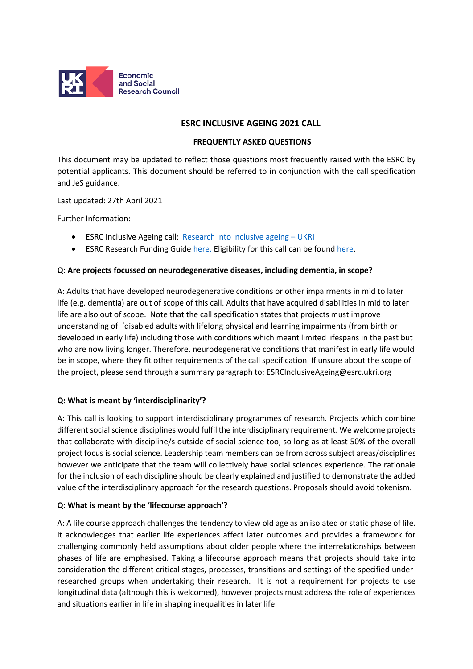

## **ESRC INCLUSIVE AGEING 2021 CALL**

### **FREQUENTLY ASKED QUESTIONS**

This document may be updated to reflect those questions most frequently raised with the ESRC by potential applicants. This document should be referred to in conjunction with the call specification and JeS guidance.

Last updated: 27th April 2021

Further Information:

- ESRC Inclusive Ageing call: [Research into inclusive ageing UKRI](https://www.ukri.org/opportunity/research-into-inclusive-ageing/)
- ESRC Research Funding Guide [here.](https://esrc.ukri.org/files/funding/guidance-for-applicants/research-funding-guide/) Eligibility for this call can be found [here.](https://www.ukri.org/apply-for-funding/before-you-apply/check-if-you-are-eligible-for-research-and-innovation-funding/)

### **Q: Are projects focussed on neurodegenerative diseases, including dementia, in scope?**

A: Adults that have developed neurodegenerative conditions or other impairments in mid to later life (e.g. dementia) are out of scope of this call. Adults that have acquired disabilities in mid to later life are also out of scope. Note that the call specification states that projects must improve understanding of 'disabled adults with lifelong physical and learning impairments (from birth or developed in early life) including those with conditions which meant limited lifespans in the past but who are now living longer. Therefore, neurodegenerative conditions that manifest in early life would be in scope, where they fit other requirements of the call specification. If unsure about the scope of the project, please send through a summary paragraph to: ESRCInclusiveAgeing@esrc.ukri.org

### **Q: What is meant by 'interdisciplinarity'?**

A: This call is looking to support interdisciplinary programmes of research. Projects which combine different social science disciplines would fulfil the interdisciplinary requirement. We welcome projects that collaborate with discipline/s outside of social science too, so long as at least 50% of the overall project focus is social science. Leadership team members can be from across subject areas/disciplines however we anticipate that the team will collectively have social sciences experience. The rationale for the inclusion of each discipline should be clearly explained and justified to demonstrate the added value of the interdisciplinary approach for the research questions. Proposals should avoid tokenism.

### **Q: What is meant by the 'lifecourse approach'?**

A: A life course approach challenges the tendency to view old age as an isolated or static phase of life. It acknowledges that earlier life experiences affect later outcomes and provides a framework for challenging commonly held assumptions about older people where the interrelationships between phases of life are emphasised. Taking a lifecourse approach means that projects should take into consideration the different critical stages, processes, transitions and settings of the specified underresearched groups when undertaking their research. It is not a requirement for projects to use longitudinal data (although this is welcomed), however projects must address the role of experiences and situations earlier in life in shaping inequalities in later life.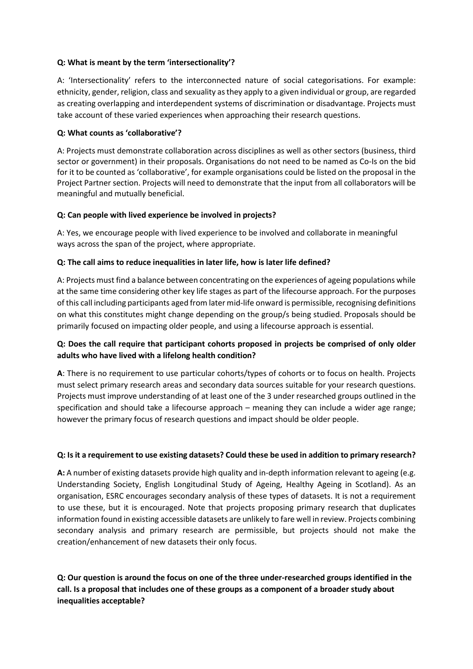## **Q: What is meant by the term 'intersectionality'?**

A: 'Intersectionality' refers to the interconnected nature of social categorisations. For example: ethnicity, gender, religion, class and sexuality asthey apply to a given individual or group, are regarded as creating overlapping and interdependent systems of discrimination or disadvantage. Projects must take account of these varied experiences when approaching their research questions.

## **Q: What counts as 'collaborative'?**

A: Projects must demonstrate collaboration across disciplines as well as other sectors (business, third sector or government) in their proposals. Organisations do not need to be named as Co-Is on the bid for it to be counted as 'collaborative', for example organisations could be listed on the proposal in the Project Partner section. Projects will need to demonstrate that the input from all collaborators will be meaningful and mutually beneficial.

## **Q: Can people with lived experience be involved in projects?**

A: Yes, we encourage people with lived experience to be involved and collaborate in meaningful ways across the span of the project, where appropriate.

## **Q: The call aims to reduce inequalities in later life, how is later life defined?**

A: Projects must find a balance between concentrating on the experiences of ageing populations while at the same time considering other key life stages as part of the lifecourse approach. For the purposes of this call including participants aged from later mid-life onward is permissible, recognising definitions on what this constitutes might change depending on the group/s being studied. Proposals should be primarily focused on impacting older people, and using a lifecourse approach is essential.

# **Q: Does the call require that participant cohorts proposed in projects be comprised of only older adults who have lived with a lifelong health condition?**

**A**: There is no requirement to use particular cohorts/types of cohorts or to focus on health. Projects must select primary research areas and secondary data sources suitable for your research questions. Projects must improve understanding of at least one of the 3 under researched groups outlined in the specification and should take a lifecourse approach – meaning they can include a wider age range; however the primary focus of research questions and impact should be older people.

### **Q: Is it a requirement to use existing datasets? Could these be used in addition to primary research?**

**A:** A number of existing datasets provide high quality and in-depth information relevant to ageing (e.g. Understanding Society, English Longitudinal Study of Ageing, Healthy Ageing in Scotland). As an organisation, ESRC encourages secondary analysis of these types of datasets. It is not a requirement to use these, but it is encouraged. Note that projects proposing primary research that duplicates information found in existing accessible datasets are unlikely to fare well in review. Projects combining secondary analysis and primary research are permissible, but projects should not make the creation/enhancement of new datasets their only focus.

**Q: Our question is around the focus on one of the three under-researched groups identified in the call. Is a proposal that includes one of these groups as a component of a broader study about inequalities acceptable?**